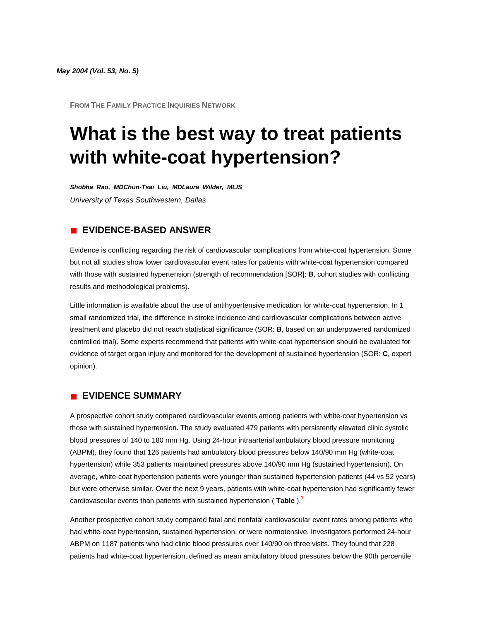*May 2004 (Vol. 53, No. 5)*

**FROM THE FAMILY PRACTICE INQUIRIES NETWORK**

# **What is the best way to treat patients with white-coat hypertension?**

*Shobha Rao, MDChun-Tsai Liu, MDLaura Wilder, MLIS University of Texas Southwestern, Dallas*

# **EVIDENCE-BASED ANSWER**

Evidence is conflicting regarding the risk of cardiovascular complications from white-coat hypertension. Some but not all studies show lower cardiovascular event rates for patients with white-coat hypertension compared with those with sustained hypertension (strength of recommendation [SOR]: **B**, cohort studies with conflicting results and methodological problems).

Little information is available about the use of antihypertensive medication for white-coat hypertension. In 1 small randomized trial, the difference in stroke incidence and cardiovascular complications between active treatment and placebo did not reach statistical significance (SOR: **B**, based on an underpowered randomized controlled trial). Some experts recommend that patients with white-coat hypertension should be evaluated for evidence of target organ injury and monitored for the development of sustained hypertension (SOR: **C**, expert opinion).

### **EVIDENCE SUMMARY**

A prospective cohort study compared cardiovascular events among patients with white-coat hypertension vs those with sustained hypertension. The study evaluated 479 patients with persistently elevated clinic systolic blood pressures of 140 to 180 mm Hg. Using 24-hour intraarterial ambulatory blood pressure monitoring (ABPM), they found that 126 patients had ambulatory blood pressures below 140/90 mm Hg (white-coat hypertension) while 353 patients maintained pressures above 140/90 mm Hg (sustained hypertension). On average, white-coat hypertension patients were younger than sustained hypertension patients (44 vs 52 years) but were otherwise similar. Over the next 9 years, patients with white-coat hypertension had significantly fewer cardiovascular events than patients with sustained hypertension ( **[Table](http://www.jfponline.com/Pages.asp?AID=1698&issue=May_2004&UID=#5305JFP_ClinicalInquiries3-tab1)** [\).](http://www.jfponline.com/Pages.asp?AID=1698&issue=May_2004&UID=#bib1)**<sup>1</sup>**

Another prospective cohort study compared fatal and nonfatal cardiovascular event rates among patients who had white-coat hypertension, sustained hypertension, or were normotensive. Investigators performed 24-hour ABPM on 1187 patients who had clinic blood pressures over 140/90 on three visits. They found that 228 patients had white-coat hypertension, defined as mean ambulatory blood pressures below the 90th percentile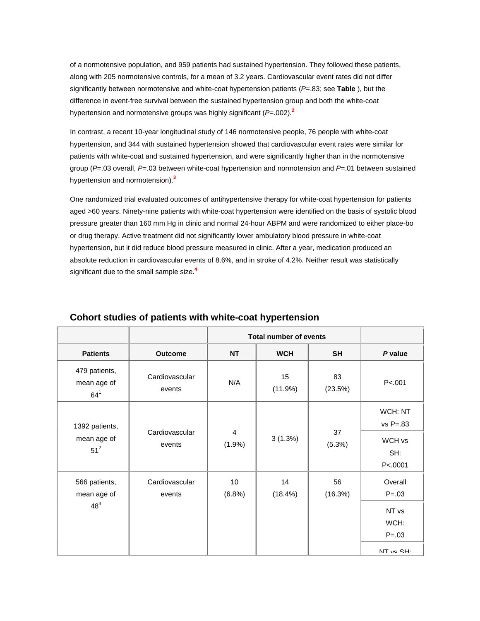of a normotensive population, and 959 patients had sustained hypertension. They followed these patients, along with 205 normotensive controls, for a mean of 3.2 years. Cardiovascular event rates did not differ significantly between normotensive and white-coat hypertension patients (*P*=.83; see **[Table](http://www.jfponline.com/Pages.asp?AID=1698&issue=May_2004&UID=#5305JFP_ClinicalInquiries3-tab1)** ), but the difference in event-free survival between the sustained hypertension group and both the white-coat hypertension and normotensive groups was highly significant (*P*=.002[\).](http://www.jfponline.com/Pages.asp?AID=1698&issue=May_2004&UID=#bib2)**<sup>2</sup>**

In contrast, a recent 10-year longitudinal study of 146 normotensive people, 76 people with white-coat hypertension, and 344 with sustained hypertension showed that cardiovascular event rates were similar for patients with white-coat and sustained hypertension, and were significantly higher than in the normotensive group (*P*=.03 overall, *P*=.03 between white-coat hypertension and normotension and *P*=.01 between sustained hypertension and normotension[\).](http://www.jfponline.com/Pages.asp?AID=1698&issue=May_2004&UID=#bib3)**<sup>3</sup>**

One randomized trial evaluated outcomes of antihypertensive therapy for white-coat hypertension for patients aged >60 years. Ninety-nine patients with white-coat hypertension were identified on the basis of systolic blood pressure greater than 160 mm Hg in clinic and normal 24-hour ABPM and were randomized to either place-bo or drug therapy. Active treatment did not significantly lower ambulatory blood pressure in white-coat hypertension, but it did reduce blood pressure measured in clinic. After a year, medication produced an absolute reduction in cardiovascular events of 8.6%, and in stroke of 4.2%. Neither result was statistically significant due to the small sample siz[e.](http://www.jfponline.com/Pages.asp?AID=1698&issue=May_2004&UID=#bib4)**<sup>4</sup>**

|                                         |                          | <b>Total number of events</b> |               |               |                         |
|-----------------------------------------|--------------------------|-------------------------------|---------------|---------------|-------------------------|
| <b>Patients</b>                         | <b>Outcome</b>           | <b>NT</b>                     | <b>WCH</b>    | <b>SH</b>     | P value                 |
| 479 patients,<br>mean age of<br>$64^1$  | Cardiovascular<br>events | N/A                           | 15<br>(11.9%) | 83<br>(23.5%) | P < .001                |
| 1392 patients,<br>mean age of<br>$51^2$ | Cardiovascular<br>events | $\overline{4}$<br>(1.9%)      | 3(1.3%)       | 37<br>(5.3%)  | WCH: NT<br>$vs P = .83$ |
|                                         |                          |                               |               |               | WCH vs                  |
|                                         |                          |                               |               |               | SH:<br>P < 0001         |
| 566 patients,                           | Cardiovascular           | 10                            | 14            | 56            | Overall                 |
| mean age of                             | events                   | (6.8%)                        | (18.4%)       | (16.3%)       | $P = .03$               |
| $48^{3}$                                |                          |                               |               |               | NT vs                   |
|                                         |                          |                               |               |               | WCH:                    |
|                                         |                          |                               |               |               | $P = .03$               |
|                                         |                          |                               |               |               | NT vs SH·               |

# **Cohort studies of patients with white-coat hypertension**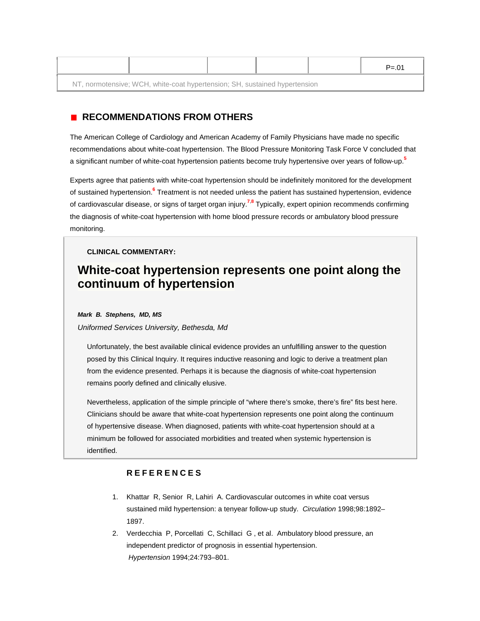|                                                                            |  |  |  |  | $P = 01$ |  |  |  |
|----------------------------------------------------------------------------|--|--|--|--|----------|--|--|--|
| NT, normotensive; WCH, white-coat hypertension; SH, sustained hypertension |  |  |  |  |          |  |  |  |

# **RECOMMENDATIONS FROM OTHERS**

The American College of Cardiology and American Academy of Family Physicians have made no specific recommendations about white-coat hypertension. The Blood Pressure Monitoring Task Force V concluded that a significant number of white-coat hypertension patients become truly hypertensive over years of follow-u[p.](http://www.jfponline.com/Pages.asp?AID=1698&issue=May_2004&UID=#bib5)**<sup>5</sup>**

Experts agree that patients with white-coat hypertension should be indefinitely monitored for the development of sustained hypertensio[n.](http://www.jfponline.com/Pages.asp?AID=1698&issue=May_2004&UID=#bib6)**<sup>6</sup>** Treatment is not needed unless the patient has sustained hypertension, evidence of cardiovascular disease, or signs of target organ injur[y.](http://www.jfponline.com/Pages.asp?AID=1698&issue=May_2004&UID=#bib7)**<sup>7</sup>**,**[8](http://www.jfponline.com/Pages.asp?AID=1698&issue=May_2004&UID=#bib8)** Typically, expert opinion recommends confirming the diagnosis of white-coat hypertension with home blood pressure records or ambulatory blood pressure monitoring.

#### **CLINICAL COMMENTARY:**

# **White-coat hypertension represents one point along the continuum of hypertension**

#### *Mark B. Stephens, MD, MS*

#### *Uniformed Services University, Bethesda, Md*

Unfortunately, the best available clinical evidence provides an unfulfilling answer to the question posed by this Clinical Inquiry. It requires inductive reasoning and logic to derive a treatment plan from the evidence presented. Perhaps it is because the diagnosis of white-coat hypertension remains poorly defined and clinically elusive.

Nevertheless, application of the simple principle of "where there's smoke, there's fire" fits best here. Clinicians should be aware that white-coat hypertension represents one point along the continuum of hypertensive disease. When diagnosed, patients with white-coat hypertension should at a minimum be followed for associated morbidities and treated when systemic hypertension is identified.

#### **REFERENCES**

- 1. Khattar R, Senior R, Lahiri A. Cardiovascular outcomes in white coat versus sustained mild hypertension: a tenyear follow-up study. *Circulation* 1998;98:1892– 1897.
- 2. Verdecchia P, Porcellati C, Schillaci G , et al. Ambulatory blood pressure, an independent predictor of prognosis in essential hypertension. *Hypertension* 1994;24:793–801.